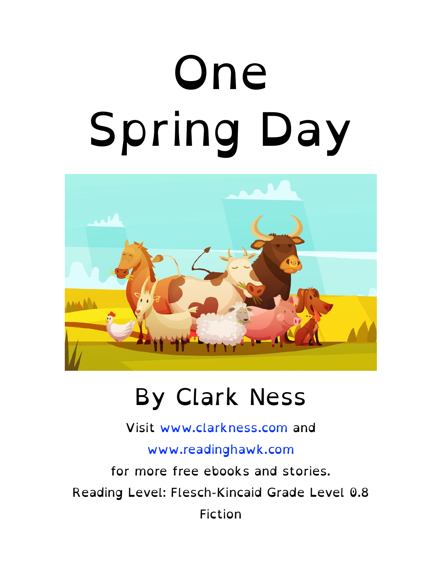# One Spring Day



#### By Clark Ness

Visit [www.clarkness.com](http://www.clarkness.com) and

[www.readinghawk.com](http://www.readinghawk.com)

for more free ebooks and stories. Reading Level: Flesch-Kincaid Grade Level 0.8 Fiction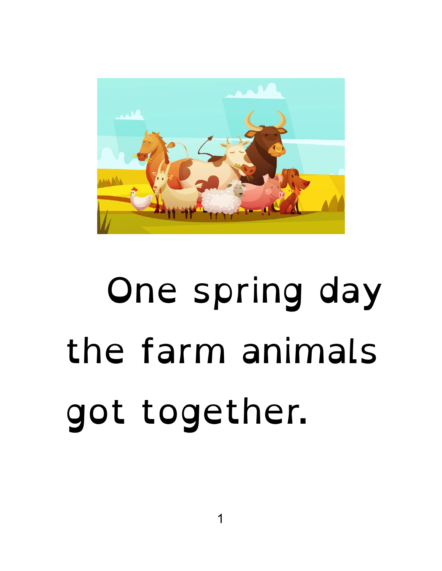

#### One spring day the farm animals got together.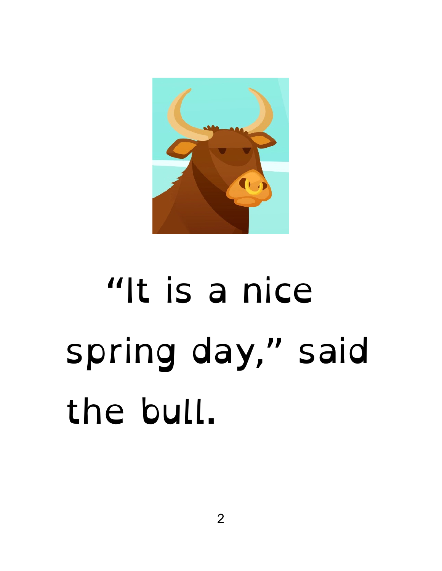

#### "It is a nice spring day," said the bull.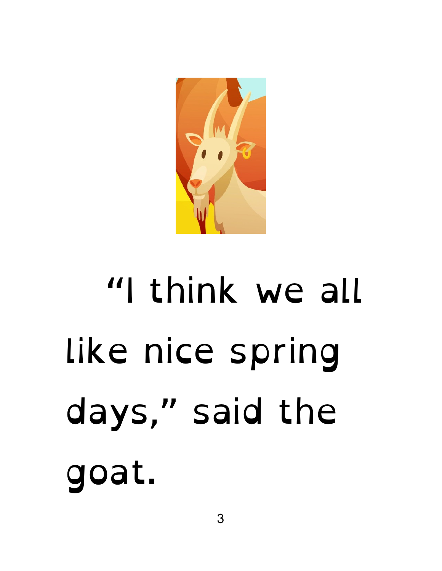

# "I think we all like nice spring days," said the goat.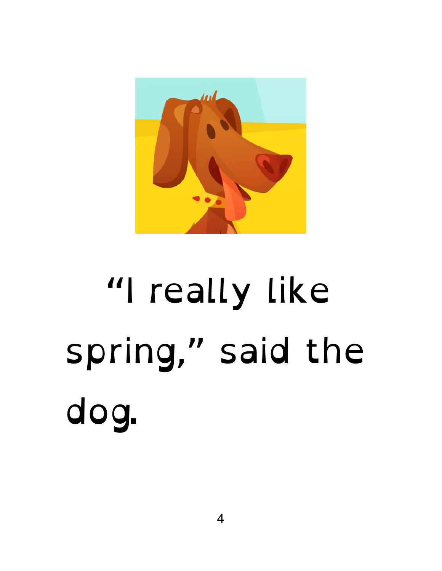

## "I really like spring," said the dog.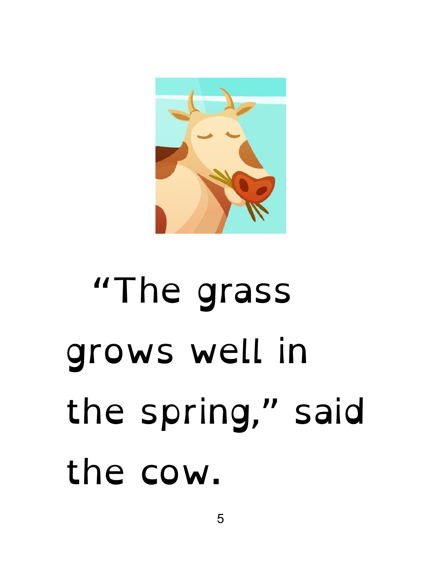

## "The grass grows well in the spring," said the cow.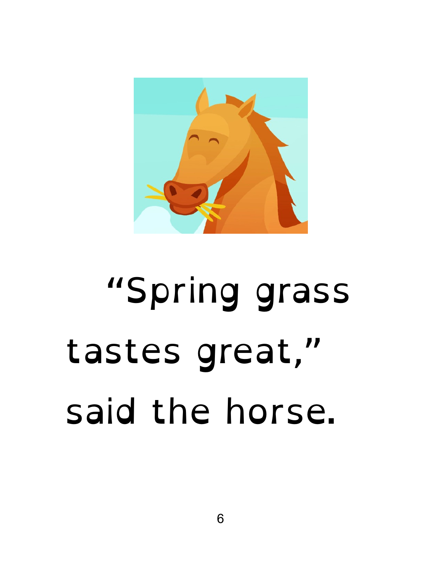

#### "Spring grass tastes great," said the horse.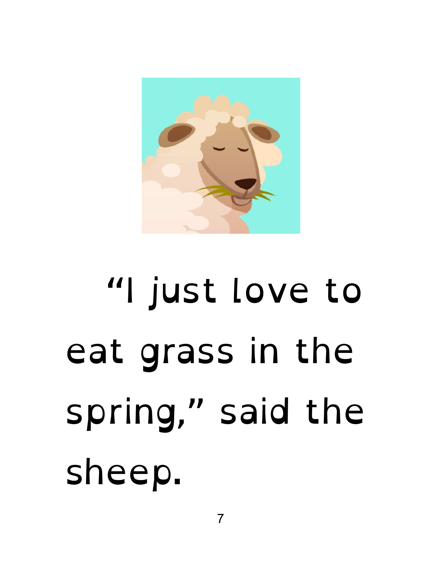## "I just love to eat grass in the spring," said the sheep.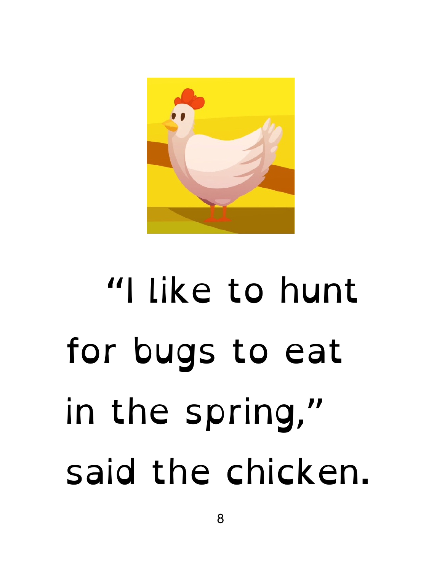

## "I like to hunt for bugs to eat in the spring," said the chicken.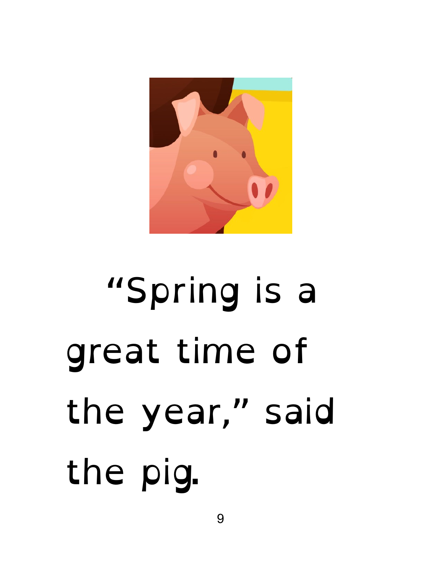

# "Spring is a great time of the year," said the pig.